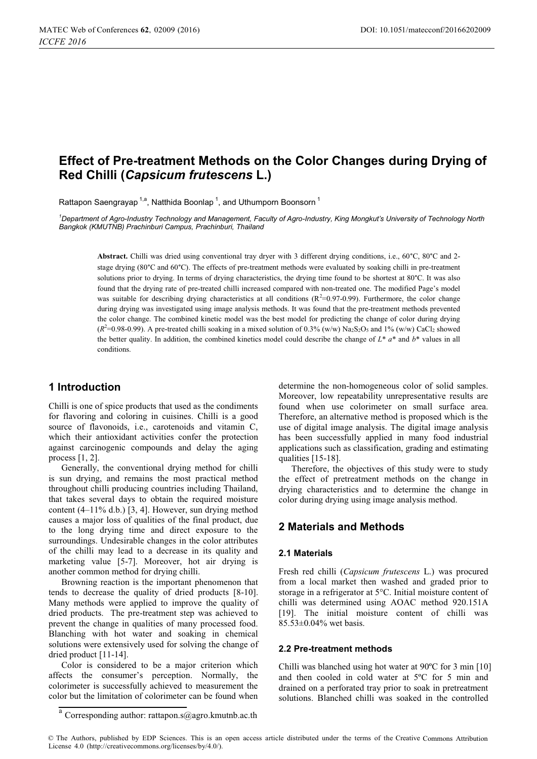# **Effect of Pre-treatment Methods on the Color Changes during Drying of Red Chilli (***Capsicum frutescens* **L.)**

Rattapon Saengrayap<sup>1,a</sup>, Natthida Boonlap<sup>1</sup>, and Uthumporn Boonsorn<sup>1</sup>

*1 Department of Agro-Industry Technology and Management, Faculty of Agro-Industry, King Mongkut's University of Technology North Bangkok (KMUTNB) Prachinburi Campus, Prachinburi, Thailand* 

**Abstract.** Chilli was dried using conventional tray dryer with 3 different drying conditions, i.e., 60°C, 80°C and 2 stage drying (80°C and 60°C). The effects of pre-treatment methods were evaluated by soaking chilli in pre-treatment solutions prior to drying. In terms of drying characteristics, the drying time found to be shortest at 80°C. It was also found that the drying rate of pre-treated chilli increased compared with non-treated one. The modified Page's model was suitable for describing drying characteristics at all conditions  $(R^2=0.97-0.99)$ . Furthermore, the color change during drying was investigated using image analysis methods. It was found that the pre-treatment methods prevented the color change. The combined kinetic model was the best model for predicting the change of color during drying  $(R^2=0.98-0.99)$ . A pre-treated chilli soaking in a mixed solution of 0.3% (w/w) Na<sub>2</sub>S<sub>2</sub>O<sub>5</sub> and 1% (w/w) CaCl<sub>2</sub> showed the better quality. In addition, the combined kinetics model could describe the change of *L*\* *a*\* and *b*\* values in all conditions.

## **1 Introduction**

Chilli is one of spice products that used as the condiments for flavoring and coloring in cuisines. Chilli is a good source of flavonoids, i.e., carotenoids and vitamin C, which their antioxidant activities confer the protection against carcinogenic compounds and delay the aging process [1, 2].

Generally, the conventional drying method for chilli is sun drying, and remains the most practical method throughout chilli producing countries including Thailand, that takes several days to obtain the required moisture content  $(4-11\%$  d.b.) [3, 4]. However, sun drying method causes a major loss of qualities of the final product, due to the long drying time and direct exposure to the surroundings. Undesirable changes in the color attributes of the chilli may lead to a decrease in its quality and marketing value [5-7]. Moreover, hot air drying is another common method for drying chilli.

Browning reaction is the important phenomenon that tends to decrease the quality of dried products [8-10]. Many methods were applied to improve the quality of dried products. The pre-treatment step was achieved to prevent the change in qualities of many processed food. Blanching with hot water and soaking in chemical solutions were extensively used for solving the change of dried product [11-14].

Color is considered to be a major criterion which affects the consumer's perception. Normally, the colorimeter is successfully achieved to measurement the color but the limitation of colorimeter can be found when determine the non-homogeneous color of solid samples. Moreover, low repeatability unrepresentative results are found when use colorimeter on small surface area. Therefore, an alternative method is proposed which is the use of digital image analysis. The digital image analysis has been successfully applied in many food industrial applications such as classification, grading and estimating qualities [15-18].

Therefore, the objectives of this study were to study the effect of pretreatment methods on the change in drying characteristics and to determine the change in color during drying using image analysis method.

## **2 Materials and Methods**

## **2.1 Materials**

Fresh red chilli (*Capsicum frutescens* L.) was procured from a local market then washed and graded prior to storage in a refrigerator at 5°C. Initial moisture content of chilli was determined using AOAC method 920.151A [19]. The initial moisture content of chilli was 85.53±0.04% wet basis.

### **2.2 Pre-treatment methods**

Chilli was blanched using hot water at 90ºC for 3 min [10] and then cooled in cold water at 5ºC for 5 min and drained on a perforated tray prior to soak in pretreatment solutions. Blanched chilli was soaked in the controlled

<sup>a</sup> Corresponding author: [rattapon.s@agro.kmutnb.ac.th](mailto:rattapon.s@agro.kmutnb.ac.th)

<sup>©</sup> The Authors, published by EDP Sciences. This is an open access article distributed under the terms of the Creative Commons Attribution License 4.0 [\(http://creativecommons.org/licenses/by/4.0/\).](http://creativecommons.org/licenses/by/4.0/)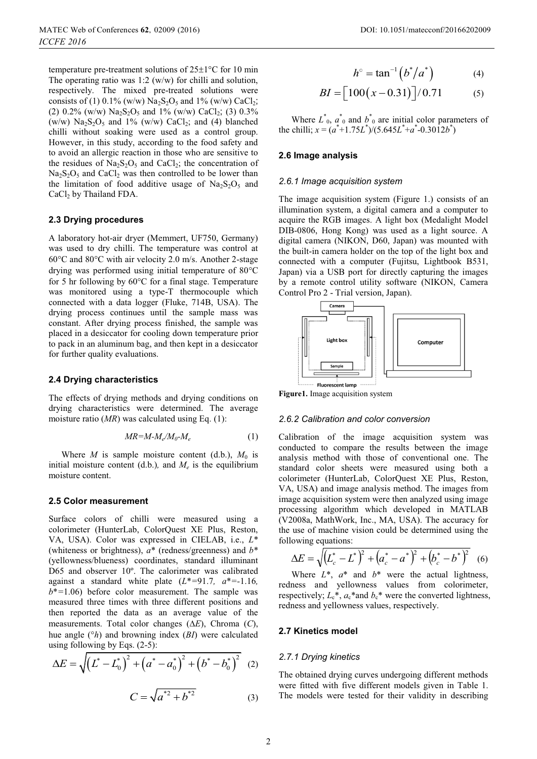temperature pre-treatment solutions of  $25 \pm 1^{\circ}$ C for 10 min The operating ratio was 1:2 (w/w) for chilli and solution, respectively. The mixed pre-treated solutions were consists of (1)  $0.1\%$  (w/w) Na<sub>2</sub>S<sub>2</sub>O<sub>5</sub> and  $1\%$  (w/w) CaCl<sub>2</sub>; (2) 0.2% (w/w)  $Na_2S_2O_5$  and 1% (w/w) CaCl<sub>2</sub>; (3) 0.3% (w/w)  $Na<sub>2</sub>S<sub>2</sub>O<sub>5</sub>$  and 1% (w/w) CaCl<sub>2</sub>; and (4) blanched chilli without soaking were used as a control group. However, in this study, according to the food safety and to avoid an allergic reaction in those who are sensitive to the residues of  $Na<sub>2</sub>S<sub>2</sub>O<sub>5</sub>$  and CaCl<sub>2</sub>; the concentration of  $Na<sub>2</sub>S<sub>2</sub>O<sub>5</sub>$  and CaCl<sub>2</sub> was then controlled to be lower than the limitation of food additive usage of  $Na<sub>2</sub>S<sub>2</sub>O<sub>5</sub>$  and CaCl<sub>2</sub> by Thailand FDA.

#### **2.3 Drying procedures**

A laboratory hot-air dryer (Memmert, UF750, Germany) was used to dry chilli. The temperature was control at  $60^{\circ}$ C and  $80^{\circ}$ C with air velocity 2.0 m/s. Another 2-stage drying was performed using initial temperature of 80°C for 5 hr following by  $60^{\circ}$ C for a final stage. Temperature was monitored using a type-T thermocouple which connected with a data logger (Fluke, 714B, USA). The drying process continues until the sample mass was constant. After drying process finished, the sample was placed in a desiccator for cooling down temperature prior to pack in an aluminum bag, and then kept in a desiccator for further quality evaluations.

## **2.4 Drying characteristics**

The effects of drying methods and drying conditions on drying characteristics were determined. The average moisture ratio (*MR*) was calculated using Eq. (1):

$$
MR=M-M_e/M_0-M_e \tag{1}
$$

Where *M* is sample moisture content (d.b.),  $M_0$  is initial moisture content (d.b.), and  $M_e$  is the equilibrium moisture content.

### **2.5 Color measurement**

Surface colors of chilli were measured using a colorimeter (HunterLab, ColorQuest XE Plus, Reston, VA, USA). Color was expressed in CIELAB, i.e., *L*\* (whiteness or brightness), *a*\* (redness/greenness) and *b*\* (yellowness/blueness) coordinates, standard illuminant D65 and observer 10º. The calorimeter was calibrated against a standard white plate (*L*\**=*91.7*, a*\**=-*1.16*,*  $b^*$ =1.06) before color measurement. The sample was measured three times with three different positions and then reported the data as an average value of the measurements. Total color changes  $(\Delta E)$ , Chroma  $(C)$ , hue angle ( $\circ h$ ) and browning index (*BI*) were calculated using following by Eqs. (2-5):

$$
\Delta E = \sqrt{\left(L^* - L_0^*\right)^2 + \left(a^* - a_0^*\right)^2 + \left(b^* - b_0^*\right)^2} \quad (2)
$$

$$
C = \sqrt{a^{*2} + b^{*2}}
$$
 (3)

$$
h^{\circ} = \tan^{-1}\left(b^*/a^*\right) \tag{4}
$$

$$
BI = [100(x - 0.31)]/0.71
$$
 (5)

Where  $L^*$ <sub>0</sub>,  $a^*$ <sub>0</sub> and  $b^*$ <sub>0</sub> are initial color parameters of the chilli;  $x = (a^* + 1.75L^*)/(5.645L^* + a^* - 0.3012b^*)$ 

### **2.6 Image analysis**

### *2.6.1 Image acquisition system*

The image acquisition system (Figure 1.) consists of an illumination system, a digital camera and a computer to acquire the RGB images. A light box (Medalight Model DIB-0806, Hong Kong) was used as a light source. A digital camera (NIKON, D60, Japan) was mounted with the built-in camera holder on the top of the light box and connected with a computer (Fujitsu, Lightbook B531, Japan) via a USB port for directly capturing the images by a remote control utility software (NIKON, Camera Control Pro 2 - Trial version, Japan).



**Figure1.** Image acquisition system

### *2.6.2 Calibration and color conversion*

Calibration of the image acquisition system was conducted to compare the results between the image analysis method with those of conventional one. The standard color sheets were measured using both a colorimeter (HunterLab, ColorQuest XE Plus, Reston, VA, USA) and image analysis method. The images from image acquisition system were then analyzed using image processing algorithm which developed in MATLAB (V2008a, MathWork, Inc., MA, USA). The accuracy for the use of machine vision could be determined using the following equations:

$$
\Delta E = \sqrt{\left(L_c^* - L^*\right)^2 + \left(a_c^* - a^*\right)^2 + \left(b_c^* - b^*\right)^2} \tag{6}
$$

Where  $L^*$ ,  $a^*$  and  $b^*$  were the actual lightness, redness and yellowness values from colorimeter, respectively;  $L_c^*$ ,  $a_c^*$  and  $b_c^*$  were the converted lightness, redness and yellowness values, respectively.

#### **2.7 Kinetics model**

#### *2.7.1 Drying kinetics*

The obtained drying curves undergoing different methods were fitted with five different models given in Table 1. The models were tested for their validity in describing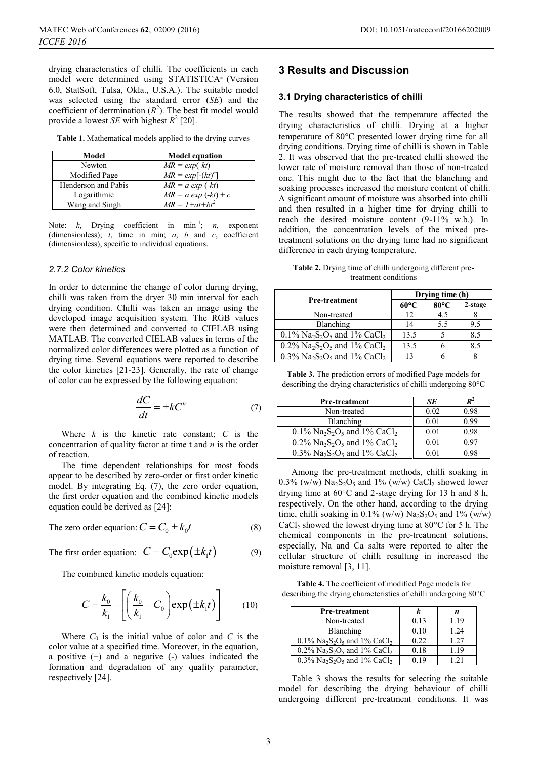drying characteristics of chilli. The coefficients in each model were determined using STATISTICA® (Version 6.0, StatSoft, Tulsa, Okla., U.S.A.). The suitable model was selected using the standard error (*SE*) and the coefficient of detrmination  $(R^2)$ . The best fit model would provide a lowest *SE* with highest  $R^2$  [20].

**Table 1.** Mathematical models applied to the drying curves

| Model               | <b>Model equation</b>  |
|---------------------|------------------------|
| Newton              | $MR = exp(-kt)$        |
| Modified Page       | $MR = exp[-(kt)^n]$    |
| Henderson and Pabis | $MR = a \exp(-kt)$     |
| Logarithmic         | $MR = a \exp(-kt) + c$ |
| Wang and Singh      | $MR = l + at + bt^2$   |

Note:  $k$ , Drving coefficient in min<sup>-1</sup>; *n*, exponent (dimensionless); *t*, time in min; *a*, *b* and *c*, coefficient (dimensionless), specific to individual equations.

#### *2.7.2 Color kinetics*

In order to determine the change of color during drying, chilli was taken from the dryer 30 min interval for each drying condition. Chilli was taken an image using the developed image acquisition system. The RGB values were then determined and converted to CIELAB using MATLAB. The converted CIELAB values in terms of the normalized color differences were plotted as a function of drying time. Several equations were reported to describe the color kinetics [21-23]. Generally, the rate of change of color can be expressed by the following equation:

$$
\frac{dC}{dt} = \pm kC^n \tag{7}
$$

Where  $k$  is the kinetic rate constant;  $C$  is the concentration of quality factor at time t and *n* is the order of reaction.

The time dependent relationships for most foods appear to be described by zero-order or first order kinetic model. By integrating Eq. (7), the zero order equation, the first order equation and the combined kinetic models equation could be derived as [24]:

The zero order equation:  $C = C_0 \pm k_0 t$  (8)

The first order equation: 
$$
C = C_0 \exp(\pm k_1 t)
$$
 (9)

The combined kinetic models equation:

$$
C = \frac{k_0}{k_1} - \left[ \left( \frac{k_0}{k_1} - C_0 \right) \exp\left(\pm k_1 t \right) \right] \tag{10}
$$

Where  $C_0$  is the initial value of color and  $C$  is the color value at a specified time. Moreover, in the equation, a positive (+) and a negative (-) values indicated the formation and degradation of any quality parameter, respectively [24].

## **3 Results and Discussion**

## **3.1 Drying characteristics of chilli**

The results showed that the temperature affected the drying characteristics of chilli. Drying at a higher temperature of 80°C presented lower drying time for all drying conditions. Drying time of chilli is shown in Table 2. It was observed that the pre-treated chilli showed the lower rate of moisture removal than those of non-treated one. This might due to the fact that the blanching and soaking processes increased the moisture content of chilli. A significant amount of moisture was absorbed into chilli and then resulted in a higher time for drying chilli to reach the desired moisture content (9-11% w.b.). In addition, the concentration levels of the mixed pretreatment solutions on the drying time had no significant difference in each drying temperature.

| Table 2. Drying time of chilli undergoing different pre- |  |
|----------------------------------------------------------|--|
| treatment conditions                                     |  |

| <b>Pre-treatment</b>                                                            | Drying time (h) |                |         |  |
|---------------------------------------------------------------------------------|-----------------|----------------|---------|--|
|                                                                                 | $60^{\circ}$ C  | $80^{\circ}$ C | 2-stage |  |
| Non-treated                                                                     | 12              | 4.5            |         |  |
| Blanching                                                                       | 14              | 5.5            | 9.5     |  |
| 0.1% $Na_2S_2O_5$ and 1% CaCl <sub>2</sub>                                      | 13.5            |                | 8.5     |  |
| $0.2\%$ Na <sub>2</sub> S <sub>2</sub> O <sub>5</sub> and 1% CaCl <sub>2</sub>  | 13.5            |                | 8.5     |  |
| $0.3\%$ Na <sub>2</sub> S <sub>2</sub> O <sub>5</sub> and 1\% CaCl <sub>2</sub> | 13              |                |         |  |

**Table 3.** The prediction errors of modified Page models for describing the drying characteristics of chilli undergoing  $80^{\circ}$ C

| <b>Pre-treatment</b>                                                           | SE   | ₽'   |
|--------------------------------------------------------------------------------|------|------|
| Non-treated                                                                    | 0.02 | 0.98 |
| Blanching                                                                      | 0.01 | 0.99 |
| $0.1\%$ Na <sub>2</sub> S <sub>2</sub> O <sub>5</sub> and 1% CaCl <sub>2</sub> | 0.01 | 0.98 |
| $0.2\%$ Na <sub>2</sub> S <sub>2</sub> O <sub>5</sub> and 1% CaCl <sub>2</sub> | 0.01 | 0.97 |
| 0.3% $Na_2S_2O_5$ and 1% CaCl <sub>2</sub>                                     | 0.01 | 0.98 |

Among the pre-treatment methods, chilli soaking in  $0.3\%$  (w/w) Na<sub>2</sub>S<sub>2</sub>O<sub>5</sub> and 1% (w/w) CaCl<sub>2</sub> showed lower drying time at  $60^{\circ}$ C and 2-stage drying for 13 h and 8 h, respectively. On the other hand, according to the drying time, chilli soaking in  $0.1\%$  (w/w) Na<sub>2</sub>S<sub>2</sub>O<sub>5</sub> and  $1\%$  (w/w) CaCl<sub>2</sub> showed the lowest drying time at 80 $\degree$ C for 5 h. The chemical components in the pre-treatment solutions, especially, Na and Ca salts were reported to alter the cellular structure of chilli resulting in increased the moisture removal [3, 11].

**Table 4.** The coefficient of modified Page models for describing the drying characteristics of chilli undergoing 80°C

| <b>Pre-treatment</b>                                                              |      | n    |  |
|-----------------------------------------------------------------------------------|------|------|--|
| Non-treated                                                                       | 0.13 | 1.19 |  |
| Blanching                                                                         | 0.10 | 1.24 |  |
| $0.1\%$ Na <sub>2</sub> S <sub>2</sub> O <sub>5</sub> and $1\%$ CaCl <sub>2</sub> | 0.22 | 1.27 |  |
| $0.2\%$ Na <sub>2</sub> S <sub>2</sub> O <sub>5</sub> and 1% CaCl <sub>2</sub>    | 0.18 | 1.19 |  |
| $0.3\%$ Na <sub>2</sub> S <sub>2</sub> O <sub>5</sub> and 1% CaCl <sub>2</sub>    | 0.19 | 121  |  |

Table 3 shows the results for selecting the suitable model for describing the drying behaviour of chilli undergoing different pre-treatment conditions. It was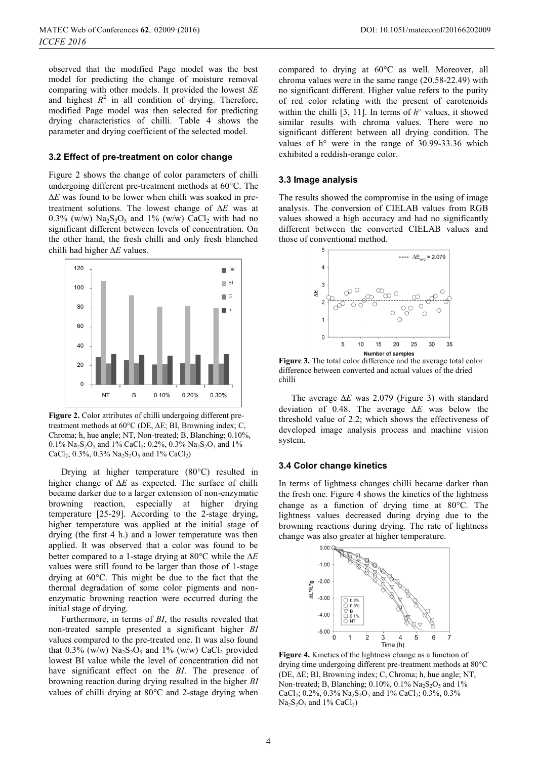observed that the modified Page model was the best model for predicting the change of moisture removal comparing with other models. It provided the lowest *SE* and highest  $R^2$  in all condition of drying. Therefore, modified Page model was then selected for predicting drying characteristics of chilli. Table 4 shows the parameter and drying coefficient of the selected model.

## **3.2 Effect of pre-treatment on color change**

Figure 2 shows the change of color parameters of chilli undergoing different pre-treatment methods at  $60^{\circ}$ C. The  $\Delta E$  was found to be lower when chilli was soaked in pretreatment solutions. The lowest change of  $\Delta E$  was at 0.3% (w/w)  $\text{Na}_2\text{S}_2\text{O}_5$  and 1% (w/w) CaCl<sub>2</sub> with had no significant different between levels of concentration. On the other hand, the fresh chilli and only fresh blanched chilli had higher  $\Delta E$  values.



**Figure 2.** Color attributes of chilli undergoing different pretreatment methods at  $60^{\circ}$ C (DE,  $\Delta$ E; BI, Browning index; C, Chroma; h, hue angle; NT, Non-treated; B, Blanching; 0.10%, 0.1%  $Na_2S_2O_5$  and 1% CaCl<sub>2</sub>; 0.2%, 0.3%  $Na_2S_2O_5$  and 1% CaCl<sub>2</sub>; 0.3%, 0.3% Na<sub>2</sub>S<sub>2</sub>O<sub>5</sub> and 1% CaCl<sub>2</sub>)

Drying at higher temperature  $(80^{\circ}C)$  resulted in higher change of  $\Delta E$  as expected. The surface of chilli became darker due to a larger extension of non-enzymatic browning reaction, especially at higher drying temperature [25-29]. According to the 2-stage drying, higher temperature was applied at the initial stage of drying (the first 4 h.) and a lower temperature was then applied. It was observed that a color was found to be better compared to a 1-stage drying at 80 $\degree$ C while the  $\Delta E$ values were still found to be larger than those of 1-stage drying at  $60^{\circ}$ C. This might be due to the fact that the thermal degradation of some color pigments and nonenzymatic browning reaction were occurred during the initial stage of drying.

Furthermore, in terms of *BI*, the results revealed that non-treated sample presented a significant higher *BI* values compared to the pre-treated one. It was also found that  $0.3\%$  (w/w) Na<sub>2</sub>S<sub>2</sub>O<sub>5</sub> and 1% (w/w) CaCl<sub>2</sub> provided lowest BI value while the level of concentration did not have significant effect on the *BI*. The presence of browning reaction during drying resulted in the higher *BI* values of chilli drying at  $80^{\circ}$ C and 2-stage drying when

compared to drying at 60°C as well. Moreover, all chroma values were in the same range (20.58-22.49) with no significant different. Higher value refers to the purity of red color relating with the present of carotenoids within the chilli [3, 11]. In terms of  $h^{\circ}$  values, it showed similar results with chroma values. There were no significant different between all drying condition. The values of  $h^{\circ}$  were in the range of 30.99-33.36 which exhibited a reddish-orange color.

#### **3.3 Image analysis**

The results showed the compromise in the using of image analysis. The conversion of CIELAB values from RGB values showed a high accuracy and had no significantly different between the converted CIELAB values and those of conventional method.



**Figure 3.** The total color difference and the average total color difference between converted and actual values of the dried chilli

The average  $\Delta E$  was 2.079 (Figure 3) with standard deviation of 0.48. The average  $\Delta E$  was below the threshold value of 2.2; which shows the effectiveness of developed image analysis process and machine vision system.

#### **3.4 Color change kinetics**

In terms of lightness changes chilli became darker than the fresh one. Figure 4 shows the kinetics of the lightness change as a function of drying time at  $80^{\circ}$ C. The lightness values decreased during drying due to the browning reactions during drying. The rate of lightness change was also greater at higher temperature.



**Figure 4.** Kinetics of the lightness change as a function of drying time undergoing different pre-treatment methods at 80°C (DE,  $\Delta E$ ; BI, Browning index; C, Chroma; h, hue angle; NT, Non-treated; B, Blanching; 0.10%, 0.1%  $Na<sub>2</sub>S<sub>2</sub>O<sub>5</sub>$  and 1% CaCl<sub>2</sub>; 0.2%, 0.3% Na<sub>2</sub>S<sub>2</sub>O<sub>5</sub> and 1% CaCl<sub>2</sub>; 0.3%, 0.3%  $Na<sub>2</sub>S<sub>2</sub>O<sub>5</sub>$  and 1% CaCl<sub>2</sub>)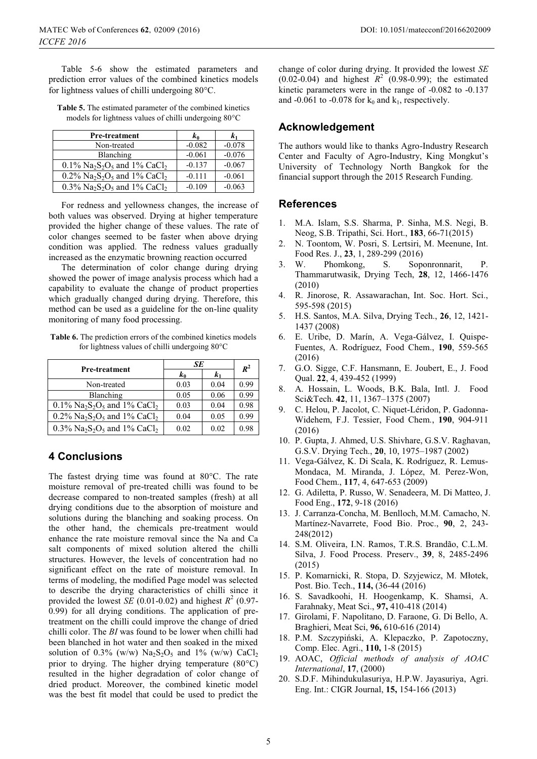Table 5-6 show the estimated parameters and prediction error values of the combined kinetics models for lightness values of chilli undergoing 80°C.

| <b>Table 5.</b> The estimated parameter of the combined kinetics |
|------------------------------------------------------------------|
| models for lightness values of chilli undergoing $80^{\circ}$ C  |

| Pre-treatment                                                                  | Kο       | K1       |  |
|--------------------------------------------------------------------------------|----------|----------|--|
| Non-treated                                                                    | $-0.082$ | $-0.078$ |  |
| Blanching                                                                      | $-0.061$ | $-0.076$ |  |
| 0.1% $Na_2S_2O_5$ and 1% CaCl <sub>2</sub>                                     | $-0.137$ | $-0.067$ |  |
| $0.2\%$ Na <sub>2</sub> S <sub>2</sub> O <sub>5</sub> and 1% CaCl <sub>2</sub> | $-0.111$ | $-0.061$ |  |
| 0.3% $Na_2S_2O_5$ and 1% CaCl <sub>2</sub>                                     | $-0.109$ | $-0.063$ |  |

For redness and yellowness changes, the increase of both values was observed. Drying at higher temperature provided the higher change of these values. The rate of color changes seemed to be faster when above drying condition was applied. The redness values gradually increased as the enzymatic browning reaction occurred

The determination of color change during drying showed the power of image analysis process which had a capability to evaluate the change of product properties which gradually changed during drying. Therefore, this method can be used as a guideline for the on-line quality monitoring of many food processing.

**Table 6.** The prediction errors of the combined kinetics models for lightness values of chilli undergoing  $80^{\circ}$ C

|                                                                                | SE    | $R^2$ |      |
|--------------------------------------------------------------------------------|-------|-------|------|
| <b>Pre-treatment</b>                                                           | $k_0$ | $k_1$ |      |
| Non-treated                                                                    | 0.03  | 0.04  | 0.99 |
| Blanching                                                                      | 0.05  | 0.06  | 0.99 |
| 0.1% $Na_2S_2O_5$ and 1% CaCl <sub>2</sub>                                     | 0.03  | 0.04  | 0.98 |
| $0.2\%$ Na <sub>2</sub> S <sub>2</sub> O <sub>5</sub> and 1% CaCl <sub>2</sub> | 0.04  | 0.05  | 0.99 |
| $0.3\%$ Na <sub>2</sub> S <sub>2</sub> O <sub>5</sub> and 1% CaCl <sub>2</sub> | 0.02  | 0.02  | 0.98 |

## **4 Conclusions**

The fastest drying time was found at  $80^{\circ}$ C. The rate moisture removal of pre-treated chilli was found to be decrease compared to non-treated samples (fresh) at all drying conditions due to the absorption of moisture and solutions during the blanching and soaking process. On the other hand, the chemicals pre-treatment would enhance the rate moisture removal since the Na and Ca salt components of mixed solution altered the chilli structures. However, the levels of concentration had no significant effect on the rate of moisture removal. In terms of modeling, the modified Page model was selected to describe the drying characteristics of chilli since it provided the lowest *SE* (0.01-0.02) and highest  $R^2$  (0.97-0.99) for all drying conditions. The application of pretreatment on the chilli could improve the change of dried chilli color. The *BI* was found to be lower when chilli had been blanched in hot water and then soaked in the mixed solution of 0.3% (w/w)  $Na<sub>2</sub>S<sub>2</sub>O<sub>5</sub>$  and 1% (w/w) CaCl<sub>2</sub> prior to drying. The higher drying temperature  $(80^{\circ}C)$ resulted in the higher degradation of color change of dried product. Moreover, the combined kinetic model was the best fit model that could be used to predict the

change of color during drying. It provided the lowest *SE*  $(0.02-0.04)$  and highest  $R^2$  (0.98-0.99); the estimated kinetic parameters were in the range of -0.082 to -0.137 and -0.061 to -0.078 for  $k_0$  and  $k_1$ , respectively.

## **Acknowledgement**

The authors would like to thanks Agro-Industry Research Center and Faculty of Agro-Industry, King Mongkut's University of Technology North Bangkok for the financial support through the 2015 Research Funding.

## **References**

- 1. M.A. Islam, S.S. Sharma, P. Sinha, M.S. Negi, B. Neog, S.B. Tripathi, Sci. Hort., **183**, 66-71(2015)
- 2. N. Toontom, W. Posri, S. Lertsiri, M. Meenune, Int. Food Res. J., **23**, 1, 289-299 (2016)<br>3. W. Phomkong, S. Sopo
- Soponronnarit, P. Thammarutwasik, Drying Tech, **28**, 12, 1466-1476 (2010)
- 4. R. Jinorose, R. Assawarachan, Int. Soc. Hort. Sci., 595-598 (2015)
- 5. H.S. Santos, M.A. Silva, Drying Tech., **26**, 12, 1421- 1437 (2008)
- 6. E. Uribe, D. Marín, A. Vega-Gálvez, I. Quispe-Fuentes, A. Rodríguez, Food Chem., **190**, 559-565 (2016)
- 7. G.O. Sigge, C.F. Hansmann, E. Joubert, E., J. Food Qual. **22**, 4, 439-452 (1999)
- 8. A. Hossain, L. Woods, B.K. Bala, Intl. J. Food Sci&Tech. **42**, 11, 1367–1375 (2007)
- 9. C. Helou, P. Jacolot, C. Niquet-Léridon, P. Gadonna-Widehem, F.J. Tessier, Food Chem., **190**, 904-911 (2016)
- 10. P. Gupta, J. Ahmed, U.S. Shivhare, G.S.V. Raghavan, G.S.V. Drying Tech., **20**, 10, 1975–1987 (2002)
- 11. Vega-Gálvez, K. Di Scala, K. Rodríguez, R. Lemus-Mondaca, M. Miranda, J. López, M. Perez-Won, Food Chem., **117**, 4, 647-653 (2009)
- 12. G. Adiletta, P. Russo, W. Senadeera, M. Di Matteo, J. Food Eng., **172**, 9-18 (2016)
- 13. J. Carranza-Concha, M. Benlloch, M.M. Camacho, N. Martínez-Navarrete, Food Bio. Proc., **90**, 2, 243- 248(2012)
- 14. S.M. Oliveira, I.N. Ramos, T.R.S. Brandão, C.L.M. Silva, J. Food Process. Preserv., **39**, 8, 2485-2496 (2015)
- 15. P. Komarnicki, R. Stopa, D. Szyjewicz, M. Młotek, Post. Bio. Tech., **114,** (36-44 (2016)
- 16. S. Savadkoohi, H. Hoogenkamp, K. Shamsi, A. Farahnaky, Meat Sci., **97,** 410-418 (2014)
- 17. Girolami, F. Napolitano, D. Faraone, G. Di Bello, A. Braghieri, Meat Sci, **96,** 610-616 (2014)
- 18. P.M. Szczypiński, A. Klepaczko, P. Zapotoczny, Comp. Elec. Agri., **110,** 1-8 (2015)
- 19. AOAC, *Official methods of analysis of AOAC International*, **17**, (2000)
- 20. S.D.F. Mihindukulasuriya, H.P.W. Jayasuriya, Agri. Eng. Int.: CIGR Journal, **15,** 154-166 (2013)